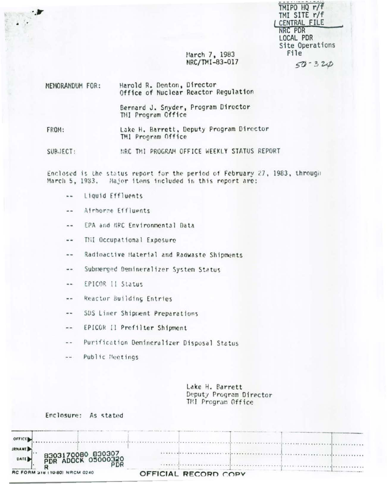| TMIPO HQ r/f    |
|-----------------|
| TMI SITE r/f    |
| CENTRAL FILE    |
| NRC PDR         |
| LOCAL PDR       |
| Site Operations |
| File            |
| $50 - 320$      |

March 7, 1983 NRC/TMI-83-017

MEMORANDUM FOR: Harold R. Denton, Director Office of Nuclear Reactor Regulation Bernard J. Snyder, Program Director THI Program Office Lake H. Barrett, Deputy Program Director FROM: TMI Program Office

NRC THI PROGRAM OFFICE WEEKLY STATUS REPORT  $SUBJECT:$ 

Enclosed is the status report for the period of February 27, 1983, through March 5, 1933. Hajor items included in this report are:

- Liquid Effluents  $\sim$   $\sim$
- Airborne Effluents  $-1$
- EPA and NRC Environmental Data  $- -$
- THI Occupational Exposure  $\frac{1}{2}$
- Radioactive Haterial and Radwaste Shipments  $\sim$   $\sim$
- Submerged Demineralizer System Status  $\blacksquare$
- EPICOR II Status  $=$
- Reactor Building Entries  $\rightarrow$
- SUS Liner Shipment Preparations  $-1$
- EPICOR Il Prefilter Shipment  $\frac{1}{2}$
- Purification Demineralizer Disposal Status  $-1$
- Public Meetings  $m =$

Lake H. Barrett Deputy Program Director TMI Program Office

Enclosure: As stated

| OFFICE                                                 |                      |
|--------------------------------------------------------|----------------------|
| <b>JRNAME</b>                                          |                      |
| 8303170080 830307<br>PDR ADOCK 05000320<br><b>DATE</b> |                      |
| DF                                                     |                      |
| RC FORM 318 (10-80) NRCM 0240                          | OFFICIAL RECORD COPY |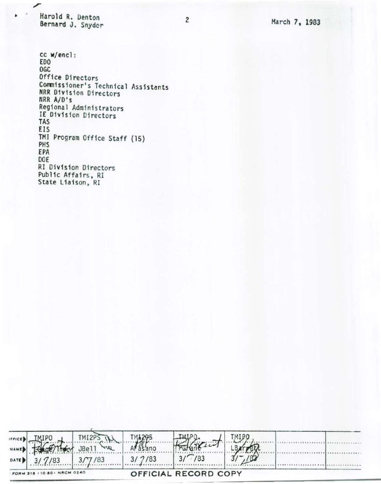Harold R. Denton Bernard J. Snyder

ر

 $\overline{a}$ ä

cc w/encl: EDO **OGC** Office Directors Commissioner's Technical Assistants NRR Division Directors NRR A/D's Regional Administrators<br>IE Division Directors TAS EIS TMI Program Office Staff (15) PHS EPA DOE RI Division Directors Public Affairs, RI State Liaison, RI

| IFFICE |                            | TMI2P  |        |                      |  |  |
|--------|----------------------------|--------|--------|----------------------|--|--|
| NAME   |                            | D/F    |        |                      |  |  |
| DATE   | 3/7/83                     | 3/7/83 | 3/7/83 | /83                  |  |  |
|        | FORM 318 110-801 NRCM 0240 |        |        | OFFICIAL RECORD COPY |  |  |

 $\overline{c}$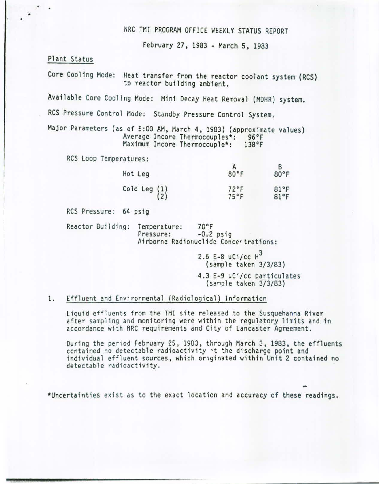## NRC TMI PROGRAM OFFICE WEEKLY STATUS REPORT

February 27, 1983- March 5, 1983

Plant Status

. .

Core Cooling Mode: Heat transfer from the reactor coolant system (RCS) to reactor building ambient.

Available Core Cooling Mode: Mini Decay Heat Removal (MOHR) system.

RCS Pressure Control Mode: Standby Pressure Control System.

Major Parameters (as of 5:00 AM, March 4, 1983) (approximate values) Average Incore Thermocouples\*: 96°F<br>Maximum Incore Thermocouple\*: 138°F Maximum Incore Thermocouple\*:

RCS Loop Temperatures:

| Hot Leg                           | 80°F                             | B<br>80°F    |
|-----------------------------------|----------------------------------|--------------|
| $\begin{pmatrix} 1 \end{pmatrix}$ | $72^{\circ}$ F<br>$75^{\circ}$ F | 81°F<br>81°F |

RCS Pressure: 64 psig

Reactor Building: Temperature: 70°F<br>Pressure: -0.2 psig Airborne Radionuclide Concer trations:

> 2.6 E-8  $uCi/cc$   $H^3$ (samp le taken 3/3/83)

4.3 E-9 uCi/cc particulates (sa~ple taken 3/3/83)

#### 1. Effluent and Environmental (Radiological) Information

Liquid effluents from the TMI site released to the Susquehanna River after sampling and monitoring were within the regulatory limits and in accordance with NRC requirements and City of Lancaster Agreement.

During the period February 25, 1983, through March 3, 1983, the effluents contained no detectable radioactivity  $\cdot$ t the discharge point and individual effluent sources, which originated within Unit 2 contained no detectable radioactivity.

\*Uncertainties exist as to the exact location and accuracy of these readings.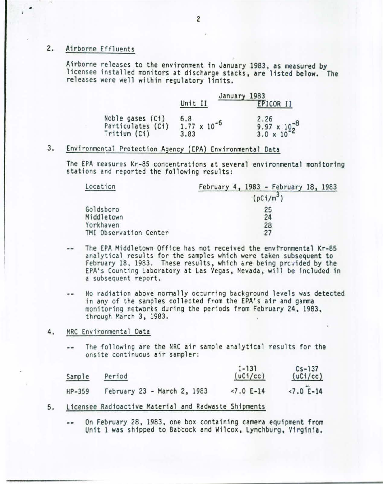### 2. Airborne Effluents

•

Airborne releases to the environment in January 1983, as measured by<br>licensee installed monitors at discharge stacks, are listed below. The releases were well within regulatory limits.

|                   | January 1983<br>Unit II | EPICOR II             |
|-------------------|-------------------------|-----------------------|
| Noble gases (Ci)  | 6.8                     | 2.26                  |
| Particulates (Ci) | $1.77 \times 10^{-6}$   | 9.97 $\times 10^{-8}$ |
| Tritium (Ci)      | 3.83                    | $3.0 \times 10^{-2}$  |

## 3. Environmental Protection Agency (EPA) Environmental Data

The EPA measures Kr-85 concentrations at several environmental monitoring<br>stations and reported the following results:

| Location               | February 4, 1983 - February 18, 1983 |  |  |
|------------------------|--------------------------------------|--|--|
|                        | $(pCi/m^3)$                          |  |  |
| Goldsboro              | 25                                   |  |  |
| Middletown             | 24                                   |  |  |
| Yorkhaven              | 28                                   |  |  |
| TMI Observation Center | 27                                   |  |  |

- The EPA Middletown Office has not received the envtronmental Kr-85  $-1$ analytical results for the samples which were taken subsequent to February 18, 1983. These results, which are being provided by the EPA's Counting Laboratory at Las Vegas, Nevada, will be included in a subsequent report.
- No radiation above normally oc:urring background levels was detected  $\frac{1}{2}$ in any of the samples collected from the EPA's air and gamma monitoring networks during the periods from February 24, 1983, through March 3, 1983.
- 4. NRC Environmen tal Data
	- The following are the NRC air sample analytical results for the  $\cdots$ onsite continuous air sampler:

| Sample   | Period                      | $1 - 131$<br>(uC1/cc) | $Cs - 137$<br>(uC1/cc) |
|----------|-----------------------------|-----------------------|------------------------|
| $HP-359$ | February 23 - March 2, 1983 | $27.0 E-14$           | $-7.0$ E-14            |

- 5. Licensee Radioactive Material and Radwaste Shipments
	- On February 28, 1983, one box containing camera equipment from .. Unit 1 was shipped to Babcock and Wilcox, Lynchburg, Virginia.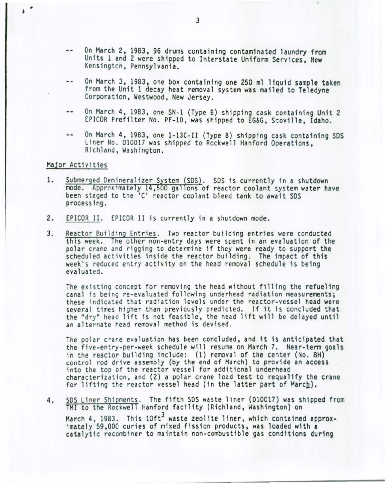- On March 2, 1983, 96 drums containing contaminated laundry from  $\frac{1}{2}$ Units 1 and 2 were shipped to Interstate Uniform Services, New Kensington, Pennsylvania.
- On March 3, 1983, one box containing one 250 ml liquid sample taken a. from the Unit 1 decay heat removal system was mailed to Teledyne Corporation, Westwood, New Jersey.
- --On March 4, 1983, one SN-1 (Type B) shipping cask containing Unit 2 EPICOR Prefilter No. PF-10, was shipped to EG&G, Scoville, Idaho.
- $-$ On March 4, 1983, one 1-13C-II (Type B) shipping cask containing SOS Liner No. 010017 was shipped to Rockwell Hanford Operations, Richland, Washington.

#### Major Activities

- 1. Submerged Demineralizer System (SDS). SDS is currently in a shutdown reactor coolant system water have been staged to the 'C' reactor coolant bleed tank to await SDS processing.
- 2. EPICOR II. EPICOR II is currently in a shutdown mode.
- 3. Reactor Building Entries. Two reactor building entries were conducted this week. The other non-entry days were spent in an evaluation of the polar crane and rigging to determine if they were ready to support the scheduled activities inside the reactor building. The impact of this week 's reduced entry activity on the head removal schedule is being evaluated.

The existing concept for removing the head without filling the refueling canal is being re-evaluated following underhead radiation measurements; these indicated that radiation levels under the reactor-vessel head were several times higher than previously predicted. If it is concluded that the "dry" head lift is not feasible, the head lift will be delayed until an alternate head removal method is devised.

The polar crane evaluation has been concluded, and it is anticipated that the five-entry-per-week schedule will resume on March 7. Near-term goals in the reactor building include: (1) removal of the center (No. 8H) control rod drive assembly (by the end of March) to provide an access into the top of the reactor vessel for additional underhead characterization, and (2) a polar crane load test to requalify the crane for lifting the reactor vessel head (in the latter part of March).

4. SDS Liner Shipments. The fifth SDS waste liner (D10017) was shipped from TMI to the Rockwell Hanford facility (Richland, Washington) on March 4, 1983. This 10ft<sup>3</sup> waste zeolite liner, which contained approx-<br>imately 59,000 curies of mixed fission products, was loaded with a catalytic recombiner to maintain non-combustible gas conditions during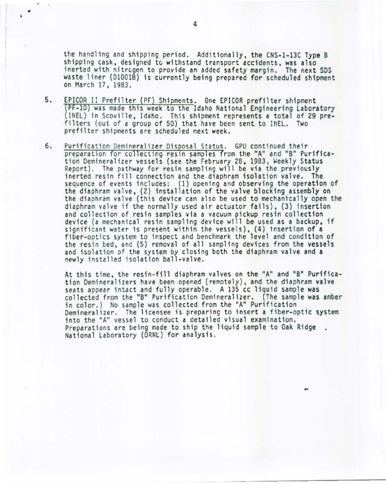the handling and shipping period. Additionally, the CNS-l-13C Type B shipping cask, designed tc withstand transport accidents, was also inerted with nitrogen to provide an added safety margin. The next SDS waste liner (010018) is currently being prepared for scheduled shipment on March 17, 1983.

- 5. EPICOR II Prefilter (PF) Shipments. One EPICOR prefilter shipment (PF-10) was made this week to the Idaho National Engineering Laboratory (INEL) in Scoville, Idaho. This shipment represents a total of 29 prefilters (out of a group of 50) that have been sent to INEL. Two prefilter shipments are scheduled next week.
- 6. Purification Demineralizer Disposal Status. GPU continued their preparation for collecting resin samples from the "A" and "B" Purification Oemineralizer vessels (see the February 28, 1983, Weekly Status Report). The pathway for resin sampling will be via the previously<br>inerted resin fill connection and the diaphram isolation valve. The sequence of events includes: (1) opening and observing the operation of the diaphram valve, (2) installation of the valve blocking assembly on the diaphram valve (this device can also be used to mechanically open the diaphram valve if the normally used air actuator fails), (3} insertion and collection of resin samples via a vacuum pickup resin collection device (a mechanical resin sampling device will be used as a backup, if significant water is present within the vessels), (4) insertion of a fiber-optics system to inspect and benchmark the level and condition of the resin bed, and (5) removal of all sampling devices from the vessels and isolation of the system by closing both the diaphram valve and a newly installed isolation ball-valve.

At this time, the resin-fill diaphram valves on the "A" and "8" Purification Demineralizers have been opened (remotely), and the diaphram valve seats appear intact and fully operable. A 135 cc liquid sample was collected from the "8" Purification Oemineralizer. (The sample was amber in color.} No sample was collected from the "A" Purification Oemineralizer. The licensee is preparing to insert a fiber-optic system into the "A" vessel to conduct a detailed visual examination. Preparations are being made to ship the liquid sample to Oak Ridge. National Laboratory (ORNL) for analysis.

-

•